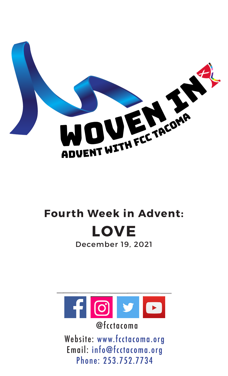

# **Fourth Week in Advent: LOVE**

December 19, 2021



@fcctacoma

Website: www.fcctacoma.org Email: info@fcctacoma.org Phone: 253.752.7734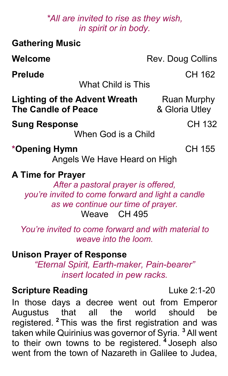#### *\*All are invited to rise as they wish, in spirit or in body.*

| <b>Gathering Music</b>                                                                                                                                                     |                               |
|----------------------------------------------------------------------------------------------------------------------------------------------------------------------------|-------------------------------|
| Welcome                                                                                                                                                                    | Rev. Doug Collins             |
| <b>Prelude</b>                                                                                                                                                             | CH 162                        |
| <b>What Child is This</b>                                                                                                                                                  |                               |
| <b>Lighting of the Advent Wreath</b><br><b>The Candle of Peace</b>                                                                                                         | Ruan Murphy<br>& Gloria Utley |
| <b>Sung Response</b><br>When God is a Child                                                                                                                                | CH 132                        |
| *Opening Hymn<br>Angels We Have Heard on High                                                                                                                              | <b>CH 155</b>                 |
| <b>A Time for Prayer</b><br>After a pastoral prayer is offered,<br>you're invited to come forward and light a candle<br>as we continue our time of prayer.<br>Weave CH 495 |                               |
| You're invited to come forward and with material to<br>weave into the loom.                                                                                                |                               |
| <b>Unison Prayer of Response</b><br>"Eternal Spirit, Earth-maker, Pain-bearer"<br>insert located in pew racks.                                                             |                               |

### **Scripture Reading Luke 2:1-20**

In those days a decree went out from Emperor<br>Augustus that all the world should be Augustus that all the world should be registered. **<sup>2</sup>** This was the first registration and was taken while Quirinius was governor of Syria. **<sup>3</sup>** All went to their own towns to be registered. **<sup>4</sup>** Joseph also went from the town of Nazareth in Galilee to Judea,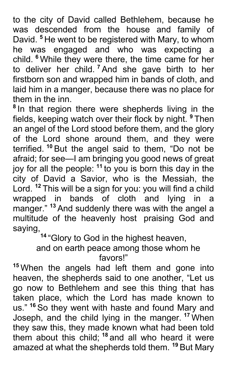to the city of David called Bethlehem, because he was descended from the house and family of David. **<sup>5</sup>** He went to be registered with Mary, to whom he was engaged and who was expecting a child. **<sup>6</sup>** While they were there, the time came for her to deliver her child. **<sup>7</sup>** And she gave birth to her firstborn son and wrapped him in bands of cloth, and laid him in a manger, because there was no place for them in the inn.

**<sup>8</sup>** In that region there were shepherds living in the fields, keeping watch over their flock by night. **<sup>9</sup>** Then an angel of the Lord stood before them, and the glory of the Lord shone around them, and they were terrified. **<sup>10</sup>** But the angel said to them, "Do not be afraid; for see—I am bringing you good news of great joy for all the people: **<sup>11</sup>** to you is born this day in the city of David a Savior, who is the Messiah, the Lord. **<sup>12</sup>** This will be a sign for you: you will find a child wrapped in bands of cloth and lying in a manger." **<sup>13</sup>** And suddenly there was with the angel a multitude of the heavenly host praising God and saying,

**<sup>14</sup>** "Glory to God in the highest heaven,

and on earth peace among those whom he favors!"

**<sup>15</sup>** When the angels had left them and gone into heaven, the shepherds said to one another, "Let us go now to Bethlehem and see this thing that has taken place, which the Lord has made known to us." **<sup>16</sup>** So they went with haste and found Mary and Joseph, and the child lying in the manger. **<sup>17</sup>** When they saw this, they made known what had been told them about this child; **<sup>18</sup>** and all who heard it were amazed at what the shepherds told them. **<sup>19</sup>** But Mary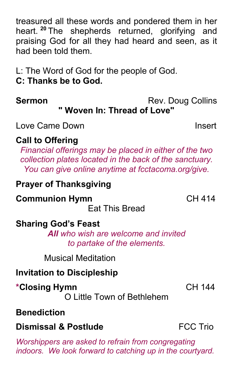treasured all these words and pondered them in her heart. **<sup>20</sup>** The shepherds returned, glorifying and praising God for all they had heard and seen, as it had been told them.

L: The Word of God for the people of God.

**C: Thanks be to God.**

**Sermon** Rev. Doug Collins **" Woven In: Thread of Love"**

# Love Came Down **Insert**

# **Call to Offering**

*Financial offerings may be placed in either of the two collection plates located in the back of the sanctuary. You can give online anytime at fcctacoma.org/give.*

### **Prayer of Thanksgiving**

### **Communion Hymn** CH 414

Eat This Bread

# **Sharing God's Feast**

*All who wish are welcome and invited to partake of the elements.*

Musical Meditation

# **Invitation to Discipleship**

# **\*Closing Hymn** CH 144

O Little Town of Bethlehem

# **Benediction**

# **Dismissal & Postlude** FCC Trio

*Worshippers are asked to refrain from congregating indoors. We look forward to catching up in the courtyard.*